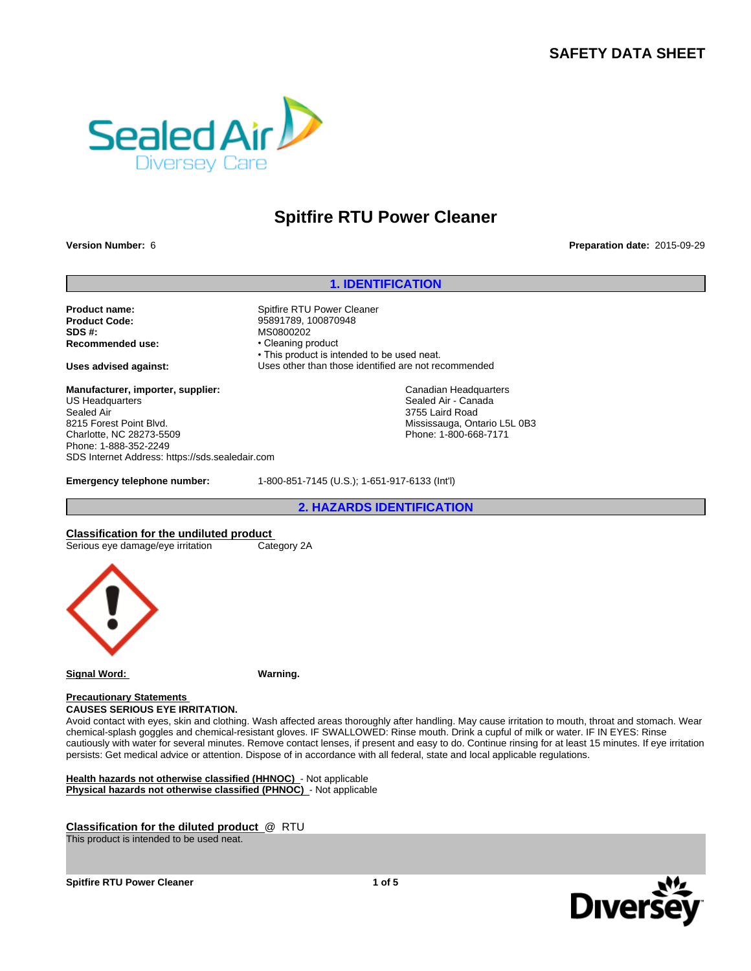# **SAFETY DATA SHEET**



# **Spitfire RTU Power Cleaner**

### **Version Number:** 6

### **Preparation date:** 2015-09-29

### **1. IDENTIFICATION**

**Product name:** Spitfire RTU Power Cleaner **Product Code:** 95891789, 100870948 **SDS #:**<br> **Recommended use:** MS0800202 • Cleaning product **Recommended use:** 

**Manufacturer, importer, supplier:** US Headquarters Sealed Air 8215 Forest Point Blvd. Charlotte, NC 28273-5509 Phone: 1-888-352-2249 SDS Internet Address: https://sds.sealedair.com

• This product is intended to be used neat. **Uses advised against:** Uses other than those identified are not recommended

> Canadian Headquarters Sealed Air - Canada 3755 Laird Road Mississauga, Ontario L5L 0B3 Phone: 1-800-668-7171

**Emergency telephone number:** 1-800-851-7145 (U.S.); 1-651-917-6133 (Int'l)

**2. HAZARDS IDENTIFICATION**

**Classification for the undiluted product**<br>
Serious eye damage/eye irritation<br>
Category 2A Serious eye damage/eye irritation



**Signal Word: Warning.**

**Precautionary Statements** 

**CAUSES SERIOUS EYE IRRITATION.**

Avoid contact with eyes, skin and clothing. Wash affected areas thoroughly after handling. May cause irritation to mouth, throat and stomach. Wear chemical-splash goggles and chemical-resistant gloves. IF SWALLOWED: Rinse mouth. Drink a cupful of milk or water. IF IN EYES: Rinse cautiously with water for several minutes. Remove contact lenses, if present and easy to do. Continue rinsing for at least 15 minutes. If eye irritation persists: Get medical advice or attention. Dispose of in accordance with all federal, state and local applicable regulations.

**Health hazards not otherwise classified (HHNOC)** - Not applicable **Physical hazards not otherwise classified (PHNOC)** - Not applicable

**Classification for the diluted product** @ RTU

This product is intended to be used neat.

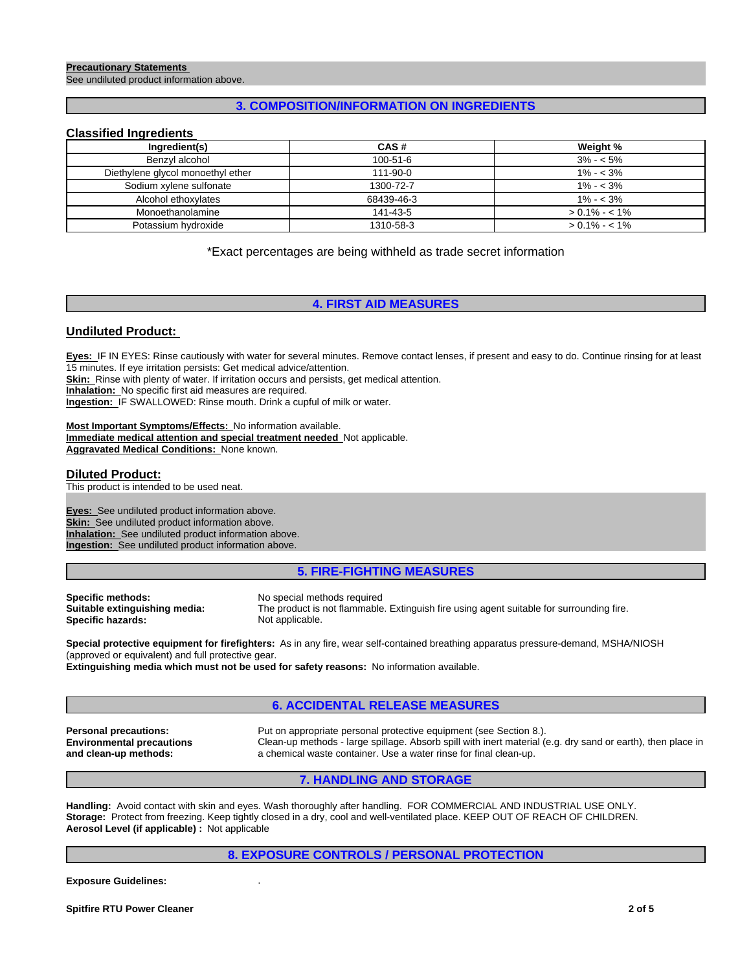### **Precautionary Statements**

See undiluted product information above.

# **3. COMPOSITION/INFORMATION ON INGREDIENTS**

### **Classified Ingredients**

| Ingredient(s)                     | CAS#           | Weight %        |
|-----------------------------------|----------------|-----------------|
| Benzyl alcohol                    | $100 - 51 - 6$ | $3\% - 5\%$     |
| Diethylene glycol monoethyl ether | 111-90-0       | $1\% - 3\%$     |
| Sodium xylene sulfonate           | 1300-72-7      | $1\% - 3\%$     |
| Alcohol ethoxylates               | 68439-46-3     | $1\% - 3\%$     |
| Monoethanolamine                  | 141-43-5       | $> 0.1\% - 1\%$ |
| Potassium hydroxide               | 1310-58-3      | $> 0.1\% - 1\%$ |

\*Exact percentages are being withheld as trade secret information

**4. FIRST AID MEASURES**

# **Undiluted Product:**

**Eyes:** IF IN EYES: Rinse cautiously with water for several minutes. Remove contact lenses, if present and easy to do. Continue rinsing for at least 15 minutes. If eye irritation persists: Get medical advice/attention. **Skin:** Rinse with plenty of water. If irritation occurs and persists, get medical attention.

**Inhalation:** No specific first aid measures are required.

**Ingestion:** IF SWALLOWED: Rinse mouth. Drink a cupful of milk or water.

**Most Important Symptoms/Effects:** No information available. **Immediate medical attention and special treatment needed** Not applicable. **Aggravated Medical Conditions:** None known.

### **Diluted Product:**

This product is intended to be used neat.

**Ingestion:** See undiluted product information above. **Eyes:** See undiluted product information above. **Skin:** See undiluted product information above. **Inhalation:** See undiluted product information above.

# **5. FIRE-FIGHTING MEASURES**

**Specific methods:** No special methods required<br> **Suitable extinguishing media:** The product is not flammable **Specific hazards:** Not applicable.

The product is not flammable. Extinguish fire using agent suitable for surrounding fire.

**Special protective equipment for firefighters:** As in any fire, wear self-contained breathing apparatus pressure-demand, MSHA/NIOSH (approved or equivalent) and full protective gear.

**Extinguishing media which must not be used for safety reasons:** No information available.

# **6. ACCIDENTAL RELEASE MEASURES**

**Personal precautions:** Put on appropriate personal protective equipment (see Section 8.). **Environmental precautions and clean-up methods:** Clean-up methods - large spillage. Absorb spill with inert material (e.g. dry sand or earth), then place in a chemical waste container. Use a water rinse for final clean-up.

### **7. HANDLING AND STORAGE**

**Handling:** Avoid contact with skin and eyes. Wash thoroughly after handling. FOR COMMERCIAL AND INDUSTRIAL USE ONLY. **Storage:** Protect from freezing. Keep tightly closed in a dry, cool and well-ventilated place. KEEP OUT OF REACH OF CHILDREN. **Aerosol Level (if applicable) :** Not applicable

### **8. EXPOSURE CONTROLS / PERSONAL PROTECTION**

**Exposure Guidelines:** .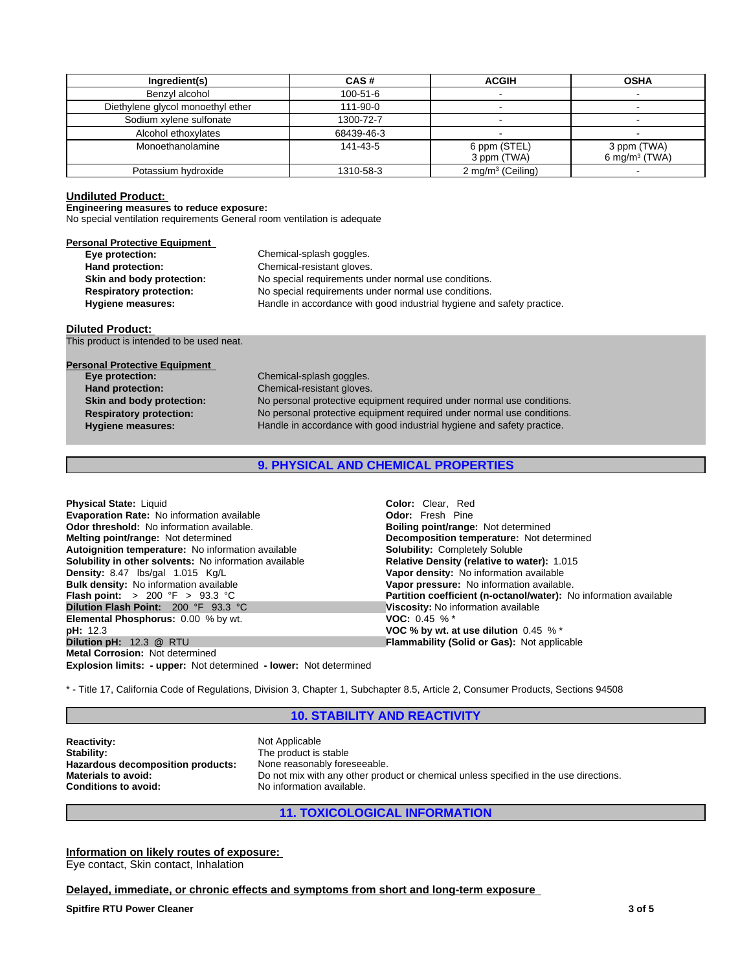| Ingredient(s)                     | CAS#       | <b>ACGIH</b>                  | <b>OSHA</b>                              |
|-----------------------------------|------------|-------------------------------|------------------------------------------|
| Benzyl alcohol                    | 100-51-6   |                               |                                          |
| Diethylene glycol monoethyl ether | 111-90-0   |                               |                                          |
| Sodium xylene sulfonate           | 1300-72-7  |                               |                                          |
| Alcohol ethoxylates               | 68439-46-3 |                               |                                          |
| Monoethanolamine                  | 141-43-5   | 6 ppm (STEL)<br>3 ppm (TWA)   | 3 ppm (TWA)<br>6 mg/m <sup>3</sup> (TWA) |
| Potassium hydroxide               | 1310-58-3  | 2 mg/m <sup>3</sup> (Ceiling) |                                          |

### **Undiluted Product:**

# **Engineering measures to reduce exposure:**

No special ventilation requirements General room ventilation is adequate

| <b>Personal Protective Equipment</b> |                                                                        |
|--------------------------------------|------------------------------------------------------------------------|
| Eye protection:                      | Chemical-splash goggles.                                               |
| Hand protection:                     | Chemical-resistant gloves.                                             |
| Skin and body protection:            | No special requirements under normal use conditions.                   |
| <b>Respiratory protection:</b>       | No special requirements under normal use conditions.                   |
| <b>Hygiene measures:</b>             | Handle in accordance with good industrial hygiene and safety practice. |

### **Diluted Product:**

This product is intended to be used neat.

**Skin and body protection: Respiratory protection: Personal Protective Equipment**<br> **Eye protection: Hygiene measures: Hand protection:** Chemical-resistant gloves.

No personal protective equipment required under normal use conditions. No personal protective equipment required under normal use conditions. Handle in accordance with good industrial hygiene and safety practice. **Eye protection:** Chemical-splash goggles.

# **9. PHYSICAL AND CHEMICAL PROPERTIES**

| <b>Color:</b> Clear. Red                                          |
|-------------------------------------------------------------------|
| <b>Odor:</b> Fresh Pine                                           |
| <b>Boiling point/range: Not determined</b>                        |
| <b>Decomposition temperature:</b> Not determined                  |
| <b>Solubility: Completely Soluble</b>                             |
| <b>Relative Density (relative to water): 1.015</b>                |
| Vapor density: No information available                           |
| Vapor pressure: No information available.                         |
| Partition coefficient (n-octanol/water): No information available |
| Viscosity: No information available                               |
| <b>VOC:</b> 0.45 % $*$                                            |
| VOC % by wt. at use dilution $0.45\%$ *                           |
| <b>Flammability (Solid or Gas): Not applicable</b>                |
|                                                                   |
|                                                                   |

**Explosion limits: - upper:** Not determined **- lower:** Not determined

\* - Title 17, California Code of Regulations, Division 3, Chapter 1, Subchapter 8.5, Article 2, Consumer Products, Sections 94508

## **10. STABILITY AND REACTIVITY**

**Reactivity:** Not Applicable<br> **Stability:** The product is **Hazardous decomposition products:**<br>Materials to avoid:

The product is stable<br>None reasonably foreseeable. **Materials to avoid:** Do not mix with any other product or chemical unless specified in the use directions.<br> **Conditions to avoid:** No information available. **Conditions to avoid:** No information available.

### **11. TOXICOLOGICAL INFORMATION**

**Information on likely routes of exposure:**  Eye contact, Skin contact, Inhalation

### **Delayed, immediate, or chronic effects and symptoms from short and long-term exposure**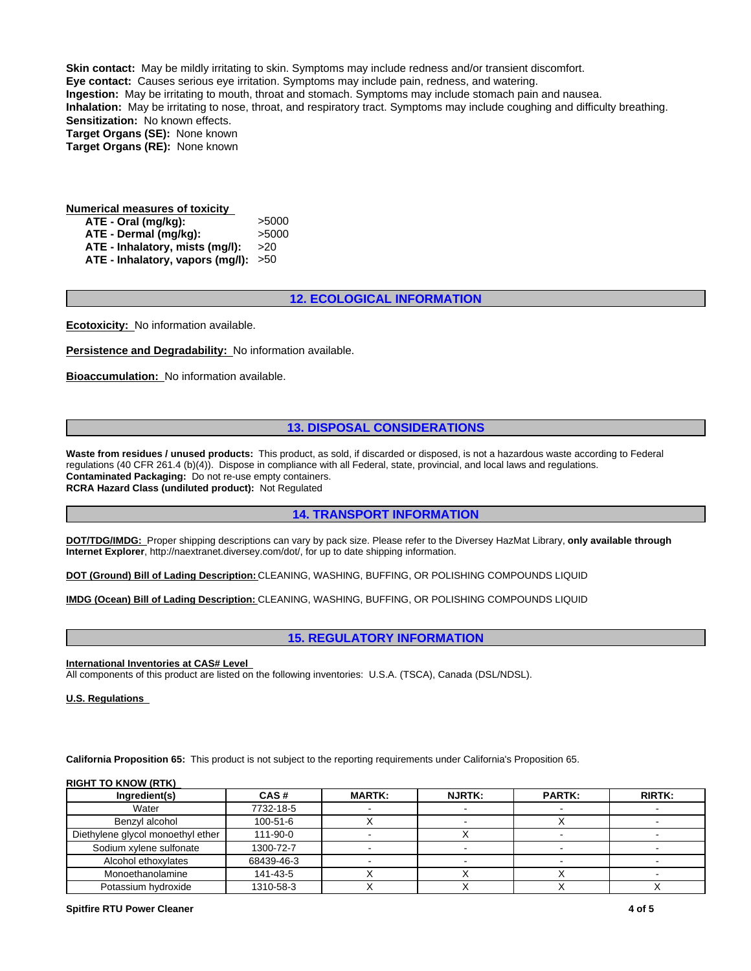**Skin contact:** May be mildly irritating to skin. Symptoms may include redness and/or transient discomfort. **Eye contact:** Causes serious eye irritation. Symptoms may include pain, redness, and watering. **Ingestion:** May be irritating to mouth, throat and stomach. Symptoms may include stomach pain and nausea. **Inhalation:** May be irritating to nose, throat, and respiratory tract. Symptoms may include coughing and difficulty breathing. **Sensitization:** No known effects. **Target Organs (SE):** None known **Target Organs (RE):** None known

| <b>Numerical measures of toxicity</b>  |       |
|----------------------------------------|-------|
| ATE - Oral (mg/kg):                    | >5000 |
| ATE - Dermal (mg/kg):                  | >5000 |
| ATE - Inhalatory, mists (mg/l):        | >20   |
| ATE - Inhalatory, vapors (mg/l): $>50$ |       |

### **12. ECOLOGICAL INFORMATION**

**Ecotoxicity:** No information available.

**Persistence and Degradability:** No information available.

**Bioaccumulation:** No information available.

# **13. DISPOSAL CONSIDERATIONS**

Waste from residues / unused products: This product, as sold, if discarded or disposed, is not a hazardous waste according to Federal regulations (40 CFR 261.4 (b)(4)). Dispose in compliance with all Federal, state, provincial, and local laws and regulations. **Contaminated Packaging:** Do not re-use empty containers. **RCRA Hazard Class (undiluted product):** Not Regulated

### **14. TRANSPORT INFORMATION**

**DOT/TDG/IMDG:** Proper shipping descriptions can vary by pack size. Please refer to the Diversey HazMat Library, **only available through Internet Explorer**, http://naextranet.diversey.com/dot/, for up to date shipping information.

**DOT (Ground) Bill of Lading Description:** CLEANING, WASHING, BUFFING, OR POLISHING COMPOUNDS LIQUID

**IMDG (Ocean) Bill of Lading Description:** CLEANING, WASHING, BUFFING, OR POLISHING COMPOUNDS LIQUID

### **15. REGULATORY INFORMATION**

**International Inventories at CAS# Level** 

All components of this product are listed on the following inventories: U.S.A. (TSCA), Canada (DSL/NDSL).

**U.S. Regulations** 

**California Proposition 65:** This product is not subject to the reporting requirements under California's Proposition 65.

### **RIGHT TO KNOW (RTK)**

| Ingredient(s)                     | CAS#       | <b>MARTK:</b> | <b>NJRTK:</b> | <b>PARTK:</b> | <b>RIRTK:</b> |
|-----------------------------------|------------|---------------|---------------|---------------|---------------|
| Water                             | 7732-18-5  |               |               |               |               |
| Benzvl alcohol                    | 100-51-6   |               |               |               |               |
| Diethylene glycol monoethyl ether | 111-90-0   |               |               |               |               |
| Sodium xylene sulfonate           | 1300-72-7  |               |               |               |               |
| Alcohol ethoxylates               | 68439-46-3 |               |               |               |               |
| Monoethanolamine                  | 141-43-5   |               |               |               |               |
| Potassium hydroxide               | 1310-58-3  |               |               |               |               |